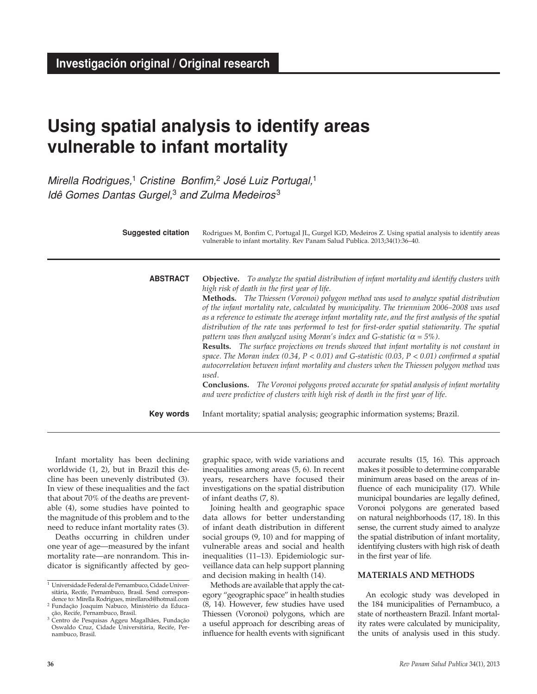# **Using spatial analysis to identify areas vulnerable to infant mortality**

*Mirella Rodrigues,*<sup>1</sup> *Cristine Bonfim,*<sup>2</sup> *José Luiz Portugal,*<sup>1</sup> *Idê Gomes Dantas Gurgel,*3 *and Zulma Medeiros* <sup>3</sup>

| <b>Suggested citation</b> | Rodrigues M, Bonfim C, Portugal JL, Gurgel IGD, Medeiros Z. Using spatial analysis to identify areas<br>vulnerable to infant mortality. Rev Panam Salud Publica. 2013;34(1):36-40.                                                                                                                                                                                                                                                                                                                                                                                                                                                                                                                                                                                                                                                                                                                                                                                                                                                                                                                                                                   |
|---------------------------|------------------------------------------------------------------------------------------------------------------------------------------------------------------------------------------------------------------------------------------------------------------------------------------------------------------------------------------------------------------------------------------------------------------------------------------------------------------------------------------------------------------------------------------------------------------------------------------------------------------------------------------------------------------------------------------------------------------------------------------------------------------------------------------------------------------------------------------------------------------------------------------------------------------------------------------------------------------------------------------------------------------------------------------------------------------------------------------------------------------------------------------------------|
| <b>ABSTRACT</b>           | Objective. To analyze the spatial distribution of infant mortality and identify clusters with<br>high risk of death in the first year of life.<br>Methods. The Thiessen (Voronoi) polygon method was used to analyze spatial distribution<br>of the infant mortality rate, calculated by municipality. The triennium 2006-2008 was used<br>as a reference to estimate the average infant mortality rate, and the first analysis of the spatial<br>distribution of the rate was performed to test for first-order spatial stationarity. The spatial<br>pattern was then analyzed using Moran's index and G-statistic ( $\alpha = 5\%$ ).<br><b>Results.</b> The surface projections on trends showed that infant mortality is not constant in<br>space. The Moran index (0.34, $P < 0.01$ ) and G-statistic (0.03, $P < 0.01$ ) confirmed a spatial<br>autocorrelation between infant mortality and clusters when the Thiessen polygon method was<br>used.<br><b>Conclusions.</b> The Voronoi polygons proved accurate for spatial analysis of infant mortality<br>and were predictive of clusters with high risk of death in the first year of life. |
| Key words                 | Infant mortality; spatial analysis; geographic information systems; Brazil.                                                                                                                                                                                                                                                                                                                                                                                                                                                                                                                                                                                                                                                                                                                                                                                                                                                                                                                                                                                                                                                                          |

Infant mortality has been declining worldwide (1, 2), but in Brazil this decline has been unevenly distributed (3). In view of these inequalities and the fact that about 70% of the deaths are preventable (4), some studies have pointed to the magnitude of this problem and to the need to reduce infant mortality rates (3).

Deaths occurring in children under one year of age—measured by the infant mortality rate—are nonrandom. This indicator is significantly affected by geographic space, with wide variations and inequalities among areas (5, 6). In recent years, researchers have focused their investigations on the spatial distribution of infant deaths (7, 8).

Joining health and geographic space data allows for better understanding of infant death distribution in different social groups (9, 10) and for mapping of vulnerable areas and social and health inequalities (11–13). Epidemiologic surveillance data can help support planning and decision making in health (14).

Methods are available that apply the category "geographic space" in health studies (8, 14). However, few studies have used Thiessen (Voronoi) polygons, which are a useful approach for describing areas of influence for health events with significant accurate results (15, 16). This approach makes it possible to determine comparable minimum areas based on the areas of influence of each municipality (17). While municipal boundaries are legally defined, Voronoi polygons are generated based on natural neighborhoods (17, 18). In this sense, the current study aimed to analyze the spatial distribution of infant mortality, identifying clusters with high risk of death in the first year of life.

## **MATERIALS AND METHODS**

An ecologic study was developed in the 184 municipalities of Pernambuco, a state of northeastern Brazil. Infant mortality rates were calculated by municipality, the units of analysis used in this study.

<sup>1</sup> Universidade Federal de Pernambuco, Cidade Universitária, Recife, Pernambuco, Brasil. Send correspondence to: Mirella Rodrigues, mirellarod@hotmail.com <sup>2</sup> Fundação Joaquim Nabuco, Ministério da Educa-

ção, Recife, Pernambuco, Brasil. <sup>3</sup> Centro de Pesquisas Aggeu Magalhães, Fundação

Oswaldo Cruz, Cidade Universitária, Recife, Pernambuco, Brasil.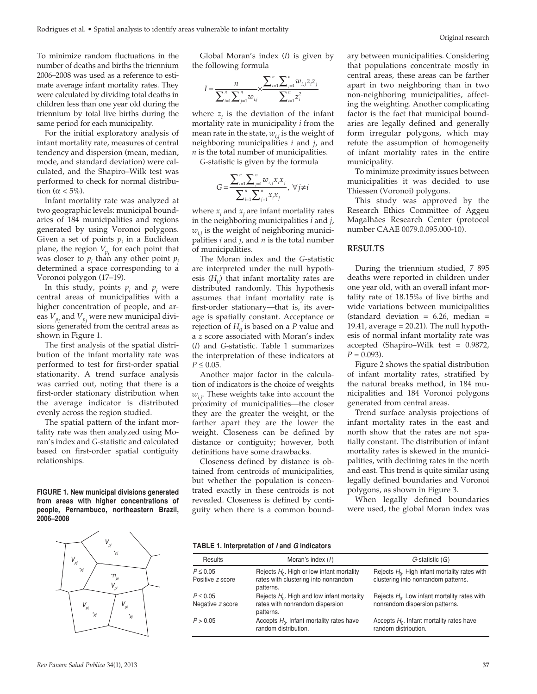To minimize random fluctuations in the number of deaths and births the triennium 2006–2008 was used as a reference to estimate average infant mortality rates. They were calculated by dividing total deaths in children less than one year old during the triennium by total live births during the same period for each municipality.

For the initial exploratory analysis of infant mortality rate, measures of central tendency and dispersion (mean, median, mode, and standard deviation) were calculated, and the Shapiro–Wilk test was performed to check for normal distribution ( $\alpha$  < 5%).

Infant mortality rate was analyzed at two geographic levels: municipal boundaries of 184 municipalities and regions generated by using Voronoi polygons. Given a set of points  $p_i$  in a Euclidean plane, the region  $V_{p_i}$  for each point that was closer to  $p_i$  than any other point  $p_j$ determined a space corresponding to a Voronoi polygon (17–19).

In this study, points  $p_i$  and  $p_j$  were central areas of municipalities with a higher concentration of people, and areas  $V_{p_i}$  and  $V_{p_j}$  were new municipal divisions generated from the central areas as shown in Figure 1.

The first analysis of the spatial distribution of the infant mortality rate was performed to test for first-order spatial stationarity. A trend surface analysis was carried out, noting that there is a first-order stationary distribution when the average indicator is distributed evenly across the region studied.

The spatial pattern of the infant mortality rate was then analyzed using Moran's index and *G*-statistic and calculated based on first-order spatial contiguity relationships.

**FIGURE 1. New municipal divisions generated from areas with higher concentrations of people, Pernambuco, northeastern Brazil, 2006–2008**



Global Moran's index (*I*) is given by the following formula

$$
I = \frac{n}{\sum_{i=1}^{n} \sum_{j=1}^{n} w_{i,j}} \times \frac{\sum_{i=1}^{n} \sum_{j=1}^{n} w_{i,j} z_i z_j}{\sum_{i=1}^{n} z_i^2}
$$

where  $z_i$  is the deviation of the infant mortality rate in municipality *i* from the mean rate in the state,  $w_{i,j}$  is the weight of neighboring municipalities *i* and *j*, and *n* is the total number of municipalities.

*G*-statistic is given by the formula

$$
G = \frac{\sum_{i=1}^{n} \sum_{j=1}^{n} w_{i,j} x_i x_j}{\sum_{i=1}^{n} \sum_{j=1}^{n} x_i x_j}, \ \forall j \neq i
$$

where  $x_i$  and  $x_j$  are infant mortality rates in the neighboring municipalities *i* and *j*, *wi*,*<sup>j</sup>* is the weight of neighboring municipalities *i* and *j*, and *n* is the total number of municipalities.

The Moran index and the *G*-statistic are interpreted under the null hypothesis  $(H_0)$  that infant mortality rates are distributed randomly. This hypothesis assumes that infant mortality rate is first-order stationary—that is, its average is spatially constant. Acceptance or rejection of  $H_0$  is based on a *P* value and a *z* score associated with Moran's index (*I*) and *G*-statistic. Table 1 summarizes the interpretation of these indicators at  $P \le 0.05$ .

Another major factor in the calculation of indicators is the choice of weights *wi*,*<sup>j</sup>* . These weights take into account the proximity of municipalities—the closer they are the greater the weight, or the farther apart they are the lower the weight. Closeness can be defined by distance or contiguity; however, both definitions have some drawbacks.

Closeness defined by distance is obtained from centroids of municipalities, but whether the population is concentrated exactly in these centroids is not revealed. Closeness is defined by contiguity when there is a common boundary between municipalities. Considering that populations concentrate mostly in central areas, these areas can be farther apart in two neighboring than in two non-neighboring municipalities, affecting the weighting. Another complicating factor is the fact that municipal boundaries are legally defined and generally form irregular polygons, which may refute the assumption of homogeneity of infant mortality rates in the entire municipality.

To minimize proximity issues between municipalities it was decided to use Thiessen (Voronoi) polygons.

This study was approved by the Research Ethics Committee of Aggeu Magalhães Research Center (protocol number CAAE 0079.0.095.000-10).

#### **RESULTS**

During the triennium studied, 7 895 deaths were reported in children under one year old, with an overall infant mortality rate of 18.15‰ of live births and wide variations between municipalities (standard deviation =  $6.26$ , median = 19.41, average  $= 20.21$ ). The null hypothesis of normal infant mortality rate was accepted (Shapiro–Wilk test = 0.9872,  $P = 0.093$ .

Figure 2 shows the spatial distribution of infant mortality rates, stratified by the natural breaks method, in 184 municipalities and 184 Voronoi polygons generated from central areas.

Trend surface analysis projections of infant mortality rates in the east and north show that the rates are not spatially constant. The distribution of infant mortality rates is skewed in the municipalities, with declining rates in the north and east. This trend is quite similar using legally defined boundaries and Voronoi polygons, as shown in Figure 3.

When legally defined boundaries were used, the global Moran index was

#### **TABLE 1. Interpretation of** *I* **and** *G* **indicators**

| Results                           | Moran's index (1)                                                                                 | $G$ -statistic $(G)$                                                                    |
|-----------------------------------|---------------------------------------------------------------------------------------------------|-----------------------------------------------------------------------------------------|
| $P \leq 0.05$<br>Positive z score | Rejects $H_0$ . High or low infant mortality<br>rates with clustering into nonrandom<br>patterns. | Rejects $H_0$ . High infant mortality rates with<br>clustering into nonrandom patterns. |
| $P \leq 0.05$<br>Negative z score | Rejects $H_0$ . High and low infant mortality<br>rates with nonrandom dispersion<br>patterns.     | Rejects $H_0$ . Low infant mortality rates with<br>nonrandom dispersion patterns.       |
| P > 0.05                          | Accepts $H_0$ . Infant mortality rates have<br>random distribution.                               | Accepts $H_0$ . Infant mortality rates have<br>random distribution.                     |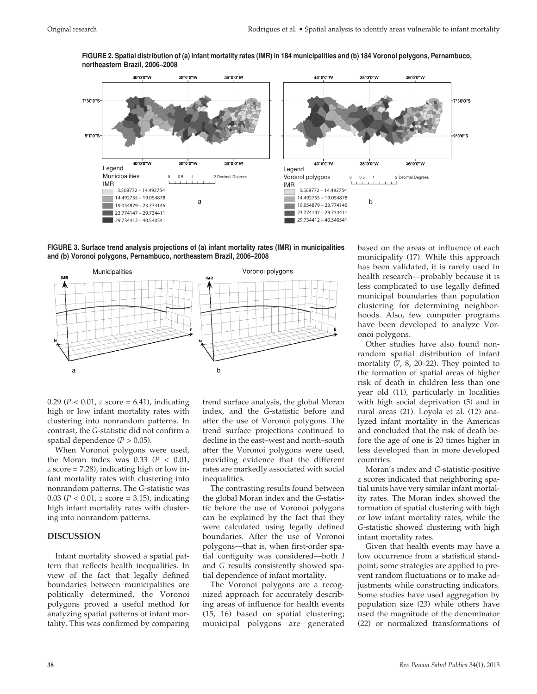

**FIGURE 2. Spatial distribution of (a) infant mortality rates (IMR) in 184 municipalities and (b) 184 Voronoi polygons, Pernambuco, northeastern Brazil, 2006–2008**

**FIGURE 3. Surface trend analysis projections of (a) infant mortality rates (IMR) in municipalities and (b) Voronoi polygons, Pernambuco, northeastern Brazil, 2006–2008**



0.29 ( $P < 0.01$ , *z* score = 6.41), indicating high or low infant mortality rates with clustering into nonrandom patterns. In contrast, the *G*-statistic did not confirm a spatial dependence  $(P > 0.05)$ .

When Voronoi polygons were used, the Moran index was  $0.33$  ( $P < 0.01$ , *z* score = 7.28), indicating high or low infant mortality rates with clustering into nonrandom patterns. The *G*-statistic was 0.03 (*P* < 0.01, *z* score = 3.15), indicating high infant mortality rates with clustering into nonrandom patterns.

# **DISCUSSION**

Infant mortality showed a spatial pattern that reflects health inequalities. In view of the fact that legally defined boundaries between municipalities are politically determined, the Voronoi polygons proved a useful method for analyzing spatial patterns of infant mortality. This was confirmed by comparing

trend surface analysis, the global Moran index, and the *G*-statistic before and after the use of Voronoi polygons. The trend surface projections continued to decline in the east–west and north–south after the Voronoi polygons were used, providing evidence that the different rates are markedly associated with social inequalities.

The contrasting results found between the global Moran index and the *G*-statistic before the use of Voronoi polygons can be explained by the fact that they were calculated using legally defined boundaries. After the use of Voronoi polygons—that is, when first-order spatial contiguity was considered—both *I* and *G* results consistently showed spatial dependence of infant mortality.

The Voronoi polygons are a recognized approach for accurately describing areas of influence for health events (15, 16) based on spatial clustering; municipal polygons are generated based on the areas of influence of each municipality (17). While this approach has been validated, it is rarely used in health research—probably because it is less complicated to use legally defined municipal boundaries than population clustering for determining neighborhoods. Also, few computer programs have been developed to analyze Voronoi polygons.

Other studies have also found nonrandom spatial distribution of infant mortality (7, 8, 20–22). They pointed to the formation of spatial areas of higher risk of death in children less than one year old (11), particularly in localities with high social deprivation (5) and in rural areas (21). Loyola et al. (12) analyzed infant mortality in the Americas and concluded that the risk of death before the age of one is 20 times higher in less developed than in more developed countries.

Moran's index and *G*-statistic-positive *z* scores indicated that neighboring spatial units have very similar infant mortality rates. The Moran index showed the formation of spatial clustering with high or low infant mortality rates, while the *G*-statistic showed clustering with high infant mortality rates.

Given that health events may have a low occurrence from a statistical standpoint, some strategies are applied to prevent random fluctuations or to make adjustments while constructing indicators. Some studies have used aggregation by population size (23) while others have used the magnitude of the denominator (22) or normalized transformations of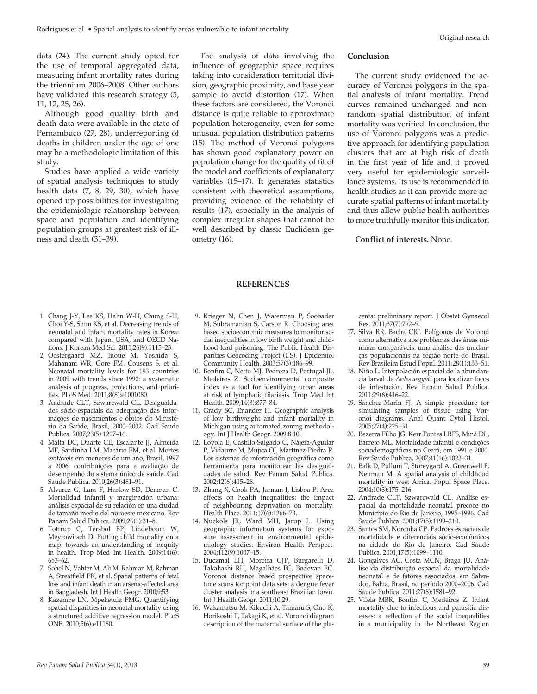data (24). The current study opted for the use of temporal aggregated data, measuring infant mortality rates during the triennium 2006–2008. Other authors have validated this research strategy (5, 11, 12, 25, 26).

Although good quality birth and death data were available in the state of Pernambuco (27, 28), underreporting of deaths in children under the age of one may be a methodologic limitation of this study.

Studies have applied a wide variety of spatial analysis techniques to study health data (7, 8, 29, 30), which have opened up possibilities for investigating the epidemiologic relationship between space and population and identifying population groups at greatest risk of illness and death (31–39).

The analysis of data involving the influence of geographic space requires taking into consideration territorial division, geographic proximity, and base year sample to avoid distortion (17). When these factors are considered, the Voronoi distance is quite reliable to approximate population heterogeneity, even for some unusual population distribution patterns (15). The method of Voronoi polygons has shown good explanatory power on population change for the quality of fit of the model and coefficients of explanatory variables (15–17). It generates statistics consistent with theoretical assumptions, providing evidence of the reliability of results (17), especially in the analysis of complex irregular shapes that cannot be well described by classic Euclidean geometry (16).

# **Conclusion**

The current study evidenced the accuracy of Voronoi polygons in the spatial analysis of infant mortality. Trend curves remained unchanged and nonrandom spatial distribution of infant mortality was verified. In conclusion, the use of Voronoi polygons was a predictive approach for identifying population clusters that are at high risk of death in the first year of life and it proved very useful for epidemiologic surveillance systems. Its use is recommended in health studies as it can provide more accurate spatial patterns of infant mortality and thus allow public health authorities to more truthfully monitor this indicator.

#### **Conflict of interests.** None.

#### **REFERENCES**

- 1. Chang J-Y, Lee KS, Hahn W-H, Chung S-H, Choi Y-S, Shim KS, et al. Decreasing trends of neonatal and infant mortality rates in Korea: compared with Japan, USA, and OECD Nations. J Korean Med Sci. 2011;26(9):1115–23.
- 2. Oestergaard MZ, Inoue M, Yoshida S, Mahanani WR, Gore FM, Cousens S, et al. Neonatal mortality levels for 193 countries in 2009 with trends since 1990: a systematic analysis of progress, projections, and priorities. PLoS Med. 2011;8(8):e1001080.
- 3. Andrade CLT, Szwarcwald CL. Desigualdades sócio-espaciais da adequação das informações de nascimentos e óbitos do Ministério da Saúde, Brasil, 2000–2002. Cad Saude Publica. 2007;23(5):1207–16.
- 4. Malta DC, Duarte CE, Escalante JJ, Almeida MF, Sardinha LM, Macário EM, et al. Mortes evitáveis em menores de um ano, Brasil, 1997 a 2006: contribuições para a avaliação de desempenho do sistema único de saúde. Cad Saude Publica. 2010;26(3):481–91.
- 5. Alvarez G, Lara F, Harlow SD, Denman C. Mortalidad infantil y marginación urbana: análisis espacial de su relación en una ciudad de tamaño medio del noroeste mexicano. Rev Panam Salud Publica. 2009;26(1):31–8.
- 6. Tottrup C, Tersbol BP, Lindeboom W, Meyrowitsch D. Putting child mortality on a map: towards an understanding of inequity in health. Trop Med Int Health. 2009;14(6): 653–62.
- 7. Sohel N, Vahter M, Ali M, Rahman M, Rahman A, Streatfield PK, et al. Spatial patterns of fetal loss and infant death in an arsenic-affected area in Bangladesh. Int J Health Geogr. 2010;9:53.
- 8. Kazembe LN, Mpeketula PMG. Quantifying spatial disparities in neonatal mortality using a structured additive regression model. PLoS ONE. 2010;5(6):e11180.
- 9. Krieger N, Chen J, Waterman P, Soobader M, Subramanian S, Carson R. Choosing area based socioeconomic measures to monitor social inequalities in low birth weight and childhood lead poisoning: The Public Health Disparities Geocoding Project (US). J Epidemiol Community Health. 2003;57(3):186–99.
- 10. Bonfim C, Netto MJ, Pedroza D, Portugal JL, Medeiros Z. Socioenvironmental composite index as a tool for identifying urban areas at risk of lymphatic filariasis. Trop Med Int Health. 2009;14(8):877–84.
- 11. Grady SC, Enander H. Geographic analysis of low birthweight and infant mortality in Michigan using automated zoning methodology. Int J Health Geogr. 2009;8:10.
- 12. Loyola E, Castillo-Salgado C, Nájera-Aguilar P, Vidaurre M, Mujica OJ, Martínez-Piedra R. Los sistemas de información geográfica como herramienta para monitorear las desigualdades de salud. Rev Panam Salud Publica. 2002;12(6):415–28.
- 13. Zhang X, Cook PA, Jarman I, Lisboa P. Area effects on health inequalities: the impact of neighbouring deprivation on mortality. Health Place. 2011;17(6):1266–73.
- 14. Nuckols JR, Ward MH, Jarup L. Using geographic information systems for exposure assessment in environmental epidemiology studies. Environ Health Perspect. 2004;112(9):1007–15.
- 15. Duczmal LH, Moreira GJP, Burgarelli D, Takahashi RH, Magalhães FC, Bodevan EC. Voronoi distance based prospective spacetime scans for point data sets: a dengue fever cluster analysis in a southeast Brazilian town. Int J Health Geogr. 2011;10:29.
- 16. Wakamatsu M, Kikuchi A, Tamaru S, Ono K, Horikoshi T, Takagi K, et al. Voronoi diagram description of the maternal surface of the pla-

centa: preliminary report. J Obstet Gynaecol Res. 2011;37(7):792–9.

- 17. Silva RR, Bacha CJC. Polígonos de Voronoi como alternativa aos problemas das áreas mínimas comparáveis: uma análise das mudanças populacionais na região norte do Brasil. Rev Brasileira Estud Popul. 2011;28(1):133–51.
- 18. Niño L. Interpolación espacial de la abundancia larval de *Aedes aegypti* para localizar focos de infestación. Rev Panam Salud Publica. 2011;29(6):416–22.
- 19. Sanchez-Marin FJ. A simple procedure for simulating samples of tissue using Voronoi diagrams. Anal Quant Cytol Histol. 2005;27(4):225–31.
- 20. Bezerra Filho JG, Kerr Pontes LRFS, Miná DL, Barreto ML. Mortalidade infantil e condições sociodemográficas no Ceará, em 1991 e 2000. Rev Saude Publica. 2007;41(16):1023–31.
- 21. Balk D, Pullum T, Storeygard A, Greenwell F, Neuman M. A spatial analysis of childhood mortality in west Africa. Popul Space Place. 2004;10(3):175–216.
- 22. Andrade CLT, Szwarcwald CL. Análise espacial da mortalidade neonatal precoce no Município do Rio de Janeiro, 1995–1996. Cad Saude Publica. 2001;17(5):1199–210.
- 23. Santos SM, Noronha CP. Padrões espaciais de mortalidade e diferenciais sócio-econômicos na cidade do Rio de Janeiro. Cad Saude Publica. 2001;17(5):1099–1110.
- 24. Gonçalves AC, Costa MCN, Braga JU. Análise da distribuição espacial da mortalidade neonatal e de fatores associados, em Salvador, Bahia, Brasil, no período 2000–2006. Cad Saude Publica. 2011;27(8):1581–92.
- 25. Vilela MBR, Bonfim C, Medeiros Z. Infant mortality due to infectious and parasitic diseases: a reflection of the social inequalities in a municipality in the Northeast Region